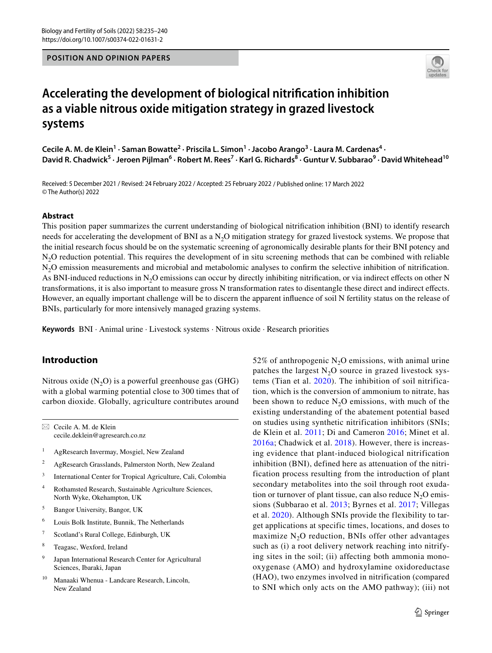**POSITION AND OPINION PAPERS**



# **Accelerating the development of biological nitrifcation inhibition as a viable nitrous oxide mitigation strategy in grazed livestock systems**

Cecile A. M. de Klein<sup>1</sup> · Saman Bowatte<sup>2</sup> · Priscila L. Simon<sup>1</sup> · Jacobo Arango<sup>3</sup> · Laura M. Cardenas<sup>4</sup> · David R. Chadwick<sup>5</sup> · Jeroen Pijlman<sup>6</sup> · Robert M. Rees<sup>7</sup> · Karl G. Richards<sup>8</sup> · Guntur V. Subbarao<sup>9</sup> · David Whitehead<sup>10</sup>

Received: 5 December 2021 / Revised: 24 February 2022 / Accepted: 25 February 2022 / Published online: 17 March 2022 © The Author(s) 2022

#### **Abstract**

This position paper summarizes the current understanding of biological nitrifcation inhibition (BNI) to identify research needs for accelerating the development of BNI as a  $N<sub>2</sub>O$  mitigation strategy for grazed livestock systems. We propose that the initial research focus should be on the systematic screening of agronomically desirable plants for their BNI potency and N<sub>2</sub>O reduction potential. This requires the development of in situ screening methods that can be combined with reliable N<sub>2</sub>O emission measurements and microbial and metabolomic analyses to confirm the selective inhibition of nitrification. As BNI-induced reductions in  $N_2O$  emissions can occur by directly inhibiting nitrification, or via indirect effects on other N transformations, it is also important to measure gross N transformation rates to disentangle these direct and indirect efects. However, an equally important challenge will be to discern the apparent infuence of soil N fertility status on the release of BNIs, particularly for more intensively managed grazing systems.

**Keywords** BNI · Animal urine · Livestock systems · Nitrous oxide · Research priorities

## **Introduction**

Nitrous oxide  $(N_2O)$  is a powerful greenhouse gas (GHG) with a global warming potential close to 300 times that of carbon dioxide. Globally, agriculture contributes around

 $\boxtimes$  Cecile A. M. de Klein cecile.deklein@agresearch.co.nz

- <sup>1</sup> AgResearch Invermay, Mosgiel, New Zealand
- <sup>2</sup> AgResearch Grasslands, Palmerston North, New Zealand
- <sup>3</sup> International Center for Tropical Agriculture, Cali, Colombia
- <sup>4</sup> Rothamsted Research, Sustainable Agriculture Sciences, North Wyke, Okehampton, UK
- <sup>5</sup> Bangor University, Bangor, UK
- <sup>6</sup> Louis Bolk Institute, Bunnik, The Netherlands
- <sup>7</sup> Scotland's Rural College, Edinburgh, UK
- <sup>8</sup> Teagasc, Wexford, Ireland
- <sup>9</sup> Japan International Research Center for Agricultural Sciences, Ibaraki, Japan
- Manaaki Whenua Landcare Research, Lincoln, New Zealand

52% of anthropogenic  $N_2O$  emissions, with animal urine patches the largest  $N<sub>2</sub>O$  source in grazed livestock systems (Tian et al. [2020](#page-5-0)). The inhibition of soil nitrification, which is the conversion of ammonium to nitrate, has been shown to reduce  $N_2O$  emissions, with much of the existing understanding of the abatement potential based on studies using synthetic nitrification inhibitors (SNIs; de Klein et al. [2011](#page-5-1); Di and Cameron [2016;](#page-5-2) Minet et al. [2016a;](#page-5-3) Chadwick et al. [2018](#page-5-4)). However, there is increasing evidence that plant-induced biological nitrification inhibition (BNI), defined here as attenuation of the nitrification process resulting from the introduction of plant secondary metabolites into the soil through root exudation or turnover of plant tissue, can also reduce  $N_2O$  emissions (Subbarao et al. [2013](#page-5-5); Byrnes et al. [2017;](#page-5-6) Villegas et al. [2020](#page-5-7)). Although SNIs provide the flexibility to target applications at specific times, locations, and doses to maximize  $N_2O$  reduction, BNIs offer other advantages such as (i) a root delivery network reaching into nitrifying sites in the soil; (ii) affecting both ammonia monooxygenase (AMO) and hydroxylamine oxidoreductase (HAO), two enzymes involved in nitrification (compared to SNI which only acts on the AMO pathway); (iii) not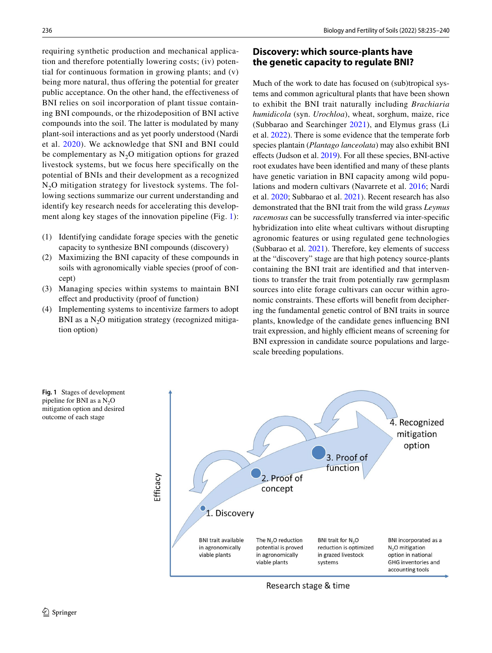requiring synthetic production and mechanical application and therefore potentially lowering costs; (iv) potential for continuous formation in growing plants; and (v) being more natural, thus offering the potential for greater public acceptance. On the other hand, the effectiveness of BNI relies on soil incorporation of plant tissue containing BNI compounds, or the rhizodeposition of BNI active compounds into the soil. The latter is modulated by many plant-soil interactions and as yet poorly understood (Nardi et al. [2020\)](#page-5-8). We acknowledge that SNI and BNI could be complementary as  $N_2O$  mitigation options for grazed livestock systems, but we focus here specifically on the potential of BNIs and their development as a recognized  $N<sub>2</sub>O$  mitigation strategy for livestock systems. The following sections summarize our current understanding and identify key research needs for accelerating this development along key stages of the innovation pipeline (Fig. [1\)](#page-1-0):

- (1) Identifying candidate forage species with the genetic capacity to synthesize BNI compounds (discovery)
- (2) Maximizing the BNI capacity of these compounds in soils with agronomically viable species (proof of concept)
- (3) Managing species within systems to maintain BNI efect and productivity (proof of function)
- (4) Implementing systems to incentivize farmers to adopt BNI as a  $N<sub>2</sub>O$  mitigation strategy (recognized mitigation option)

## **Discovery: which source‑plants have the genetic capacity to regulate BNI?**

Much of the work to date has focused on (sub)tropical systems and common agricultural plants that have been shown to exhibit the BNI trait naturally including *Brachiaria humidicola* (syn. *Urochloa*), wheat, sorghum, maize, rice (Subbarao and Searchinger [2021](#page-5-9)), and Elymus grass (Li et al. [2022](#page-5-10)). There is some evidence that the temperate forb species plantain (*Plantago lanceolata*) may also exhibit BNI efects (Judson et al. [2019](#page-5-11)). For all these species, BNI-active root exudates have been identifed and many of these plants have genetic variation in BNI capacity among wild populations and modern cultivars (Navarrete et al. [2016;](#page-5-12) Nardi et al. [2020;](#page-5-8) Subbarao et al. [2021\)](#page-5-13). Recent research has also demonstrated that the BNI trait from the wild grass *Leymus racemosus* can be successfully transferred via inter-specifc hybridization into elite wheat cultivars without disrupting agronomic features or using regulated gene technologies (Subbarao et al. [2021](#page-5-13)). Therefore, key elements of success at the "discovery" stage are that high potency source-plants containing the BNI trait are identifed and that interventions to transfer the trait from potentially raw germplasm sources into elite forage cultivars can occur within agronomic constraints. These efforts will benefit from deciphering the fundamental genetic control of BNI traits in source plants, knowledge of the candidate genes infuencing BNI trait expression, and highly efficient means of screening for BNI expression in candidate source populations and largescale breeding populations.



Research stage & time

<span id="page-1-0"></span>**Fig. 1** Stages of development pipeline for BNI as a  $N_2O$ mitigation option and desired outcome of each stage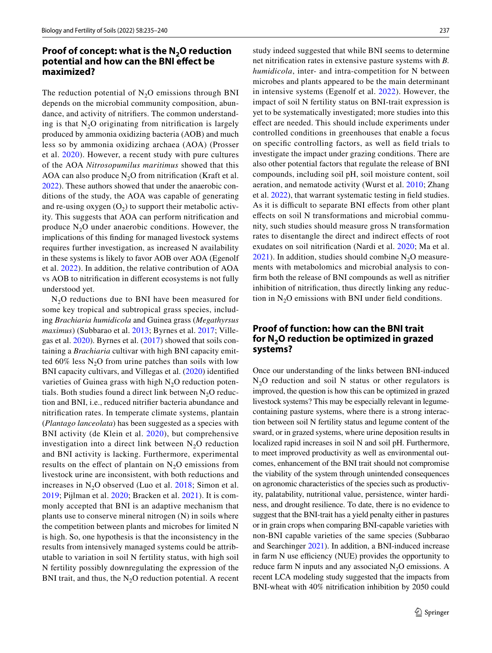#### **Proof of concept: what is the N<sub>2</sub>O reduction potential and how can the BNI efect be maximized?**

The reduction potential of  $N_2O$  emissions through BNI depends on the microbial community composition, abundance, and activity of nitrifers. The common understanding is that  $N_2O$  originating from nitrification is largely produced by ammonia oxidizing bacteria (AOB) and much less so by ammonia oxidizing archaea (AOA) (Prosser et al. [2020](#page-5-14)). However, a recent study with pure cultures of the AOA *Nitrosopumilus maritimus* showed that this AOA can also produce  $N_2O$  from nitrification (Kraft et al. [2022](#page-5-15)). These authors showed that under the anaerobic conditions of the study, the AOA was capable of generating and re-using oxygen  $(O_2)$  to support their metabolic activity. This suggests that AOA can perform nitrifcation and produce  $N_2O$  under anaerobic conditions. However, the implications of this fnding for managed livestock systems requires further investigation, as increased N availability in these systems is likely to favor AOB over AOA (Egenolf et al. [2022](#page-5-16)). In addition, the relative contribution of AOA vs AOB to nitrifcation in diferent ecosystems is not fully understood yet.

 $N<sub>2</sub>O$  reductions due to BNI have been measured for some key tropical and subtropical grass species, including *Brachiaria humidicola* and Guinea grass (*Megathyrsus maximus*) (Subbarao et al. [2013;](#page-5-5) Byrnes et al. [2017](#page-5-6); Villegas et al. [2020\)](#page-5-7). Byrnes et al. ([2017\)](#page-5-6) showed that soils containing a *Brachiaria* cultivar with high BNI capacity emitted  $60\%$  less N<sub>2</sub>O from urine patches than soils with low BNI capacity cultivars, and Villegas et al. ([2020](#page-5-7)) identifed varieties of Guinea grass with high  $N<sub>2</sub>O$  reduction potentials. Both studies found a direct link between  $N_2O$  reduction and BNI, i.e., reduced nitrifer bacteria abundance and nitrifcation rates. In temperate climate systems, plantain (*Plantago lanceolata*) has been suggested as a species with BNI activity (de Klein et al. [2020](#page-5-17)), but comprehensive investigation into a direct link between  $N_2O$  reduction and BNI activity is lacking. Furthermore, experimental results on the effect of plantain on  $N_2O$  emissions from livestock urine are inconsistent, with both reductions and increases in  $N_2O$  observed (Luo et al. [2018;](#page-5-18) Simon et al. [2019;](#page-5-19) Pijlman et al. [2020](#page-5-20); Bracken et al. [2021\)](#page-4-0). It is commonly accepted that BNI is an adaptive mechanism that plants use to conserve mineral nitrogen (N) in soils where the competition between plants and microbes for limited N is high. So, one hypothesis is that the inconsistency in the results from intensively managed systems could be attributable to variation in soil N fertility status, with high soil N fertility possibly downregulating the expression of the BNI trait, and thus, the  $N_2O$  reduction potential. A recent study indeed suggested that while BNI seems to determine net nitrifcation rates in extensive pasture systems with *B. humidicola*, inter- and intra-competition for N between microbes and plants appeared to be the main determinant in intensive systems (Egenolf et al. [2022](#page-5-16)). However, the impact of soil N fertility status on BNI-trait expression is yet to be systematically investigated; more studies into this efect are needed. This should include experiments under controlled conditions in greenhouses that enable a focus on specifc controlling factors, as well as feld trials to investigate the impact under grazing conditions. There are also other potential factors that regulate the release of BNI compounds, including soil pH, soil moisture content, soil aeration, and nematode activity (Wurst et al. [2010;](#page-5-21) Zhang et al. [2022](#page-5-22)), that warrant systematic testing in feld studies. As it is difficult to separate BNI effects from other plant efects on soil N transformations and microbial community, such studies should measure gross N transformation rates to disentangle the direct and indirect efects of root exudates on soil nitrifcation (Nardi et al. [2020;](#page-5-8) Ma et al. [2021\)](#page-5-23). In addition, studies should combine  $N_2O$  measurements with metabolomics and microbial analysis to confrm both the release of BNI compounds as well as nitrifer inhibition of nitrifcation, thus directly linking any reduction in  $N_2O$  emissions with BNI under field conditions.

## **Proof of function: how can the BNI trait for N2O reduction be optimized in grazed systems?**

Once our understanding of the links between BNI-induced  $N<sub>2</sub>O$  reduction and soil N status or other regulators is improved, the question is how this can be optimized in grazed livestock systems? This may be especially relevant in legumecontaining pasture systems, where there is a strong interaction between soil N fertility status and legume content of the sward, or in grazed systems, where urine deposition results in localized rapid increases in soil N and soil pH. Furthermore, to meet improved productivity as well as environmental outcomes, enhancement of the BNI trait should not compromise the viability of the system through unintended consequences on agronomic characteristics of the species such as productivity, palatability, nutritional value, persistence, winter hardiness, and drought resilience. To date, there is no evidence to suggest that the BNI-trait has a yield penalty either in pastures or in grain crops when comparing BNI-capable varieties with non-BNI capable varieties of the same species (Subbarao and Searchinger [2021\)](#page-5-9). In addition, a BNI-induced increase in farm N use efficiency (NUE) provides the opportunity to reduce farm N inputs and any associated  $N_2O$  emissions. A recent LCA modeling study suggested that the impacts from BNI-wheat with 40% nitrifcation inhibition by 2050 could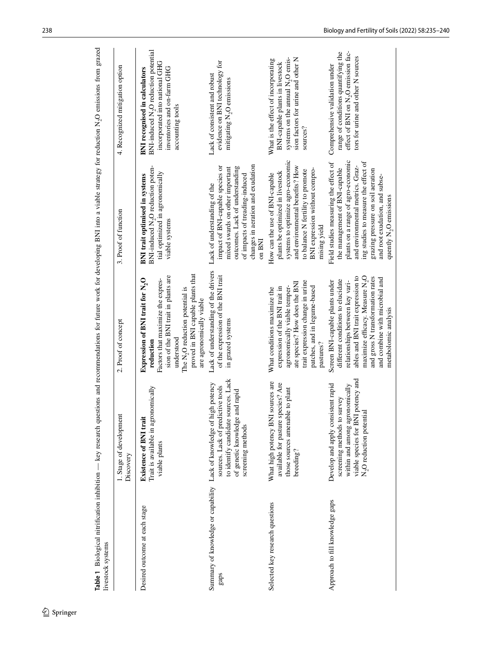| livestock systems                                                  |                                                                                                                                                                                           |                                                                                                                                                                                                                                                                                           | research throw in the statement of the statement of the statement of the statement of the statement of the statement of the statement of the statement of the statement of the statement of the statement of the statement of                                                                         |                                                                                                                                                                               |
|--------------------------------------------------------------------|-------------------------------------------------------------------------------------------------------------------------------------------------------------------------------------------|-------------------------------------------------------------------------------------------------------------------------------------------------------------------------------------------------------------------------------------------------------------------------------------------|-------------------------------------------------------------------------------------------------------------------------------------------------------------------------------------------------------------------------------------------------------------------------------------------------------|-------------------------------------------------------------------------------------------------------------------------------------------------------------------------------|
|                                                                    | 1. Stage of development<br>Discovery                                                                                                                                                      | 2. Proof of concept                                                                                                                                                                                                                                                                       | 3. Proof of function                                                                                                                                                                                                                                                                                  | 4. Recognized mitigation option                                                                                                                                               |
| Desired outcome at each stage                                      | promically<br>Trait is available in agro<br><b>Existence of BNI trait</b><br>viable plants                                                                                                | proved in BNI capable plants that<br>sion of the BNI trait in plants are<br>Expression of BNI trait for N <sub>2</sub> O<br>Factors that maximize the expres-<br>The N <sub>2</sub> O reduction potential is<br>are agronomically viable<br>understood<br>reduction                       | BNI-induced N <sub>2</sub> O reduction poten<br>tial optimized in agronomically<br><b>BNI</b> trait optimised in systems<br>viable systems                                                                                                                                                            | BNI-induced N <sub>2</sub> O reduction potential<br>incorporated into national GHG<br>inventories and on-farm GHG<br><b>BNI</b> recognised in calculators<br>accounting tools |
| Summary of knowledge or capability Lack of knowledge of hi<br>gaps | to identify candidate sources. Lack<br>igh potency<br>sources. Lack of predictive tools<br>and rapid<br>of genetic knowledge<br>screening methods                                         | Lack of understanding of the drivers<br>of the expression of the BNI trait<br>in grazed systems                                                                                                                                                                                           | changes in aeration and exudation<br>impact of BNI-capable species or<br>outcomes. Lack of understanding<br>mixed swards on other important<br>of impacts of treading-induced<br>Lack of understanding of the<br>on BNI                                                                               | evidence on BNI technology for<br>Lack of consistent and robust<br>mitigating N <sub>2</sub> O emissions                                                                      |
| Selected key research questions                                    | sources are<br>available for pasture species? Are<br>le to plant<br>What high potency BNI<br>those sources amenab<br>breeding?                                                            | trait expression change in urine<br>ate species? How does the BNI<br>agronomically viable temper-<br>patches, and in legume-based<br>expression of the BNI trait in<br>What conditions maximize the<br>pastures?                                                                          | systems to optimize agro-economic<br>and environmental benefits? How<br>BNI expression without compro-<br>to balance N fertility to promote<br>plants be optimized in livestock<br>How can the use of BNI-capable<br>mising yield                                                                     | systems on the annual N <sub>2</sub> O emis-<br>sion factors for urine and other N<br>What is the effect of incorporating<br>BNI-capable plants in livestock<br>sources?      |
| Approach to fill knowledge gaps                                    | I potency and<br>Develop and apply consistent rapid<br>within and among agronomically<br>survey<br>N <sub>2</sub> O reduction potential<br>viable species for BNI<br>screening methods to | maximize efficacy. Measure N <sub>2</sub> O<br>ables and BNI trait expression to<br>and gross N transformation rates<br>and combine with microbial and<br>different conditions to elucidate<br>Screen BNI-capable plants under<br>relationships between key vari-<br>metabolomic analysis | plants on a range of agro-economic<br>ing studies to measure the effect of<br>Field studies measuring the effect of<br>and environmental metrics. Graz-<br>the management of BNI-capable<br>grazing pressure on soil aeration<br>and root exudation, and subse-<br>quently N <sub>2</sub> O emissions | effect of BNI on N <sub>2</sub> O emission fac-<br>range of conditions quantifying the<br>tors for urine and other N sources<br>Comprehensive validation under                |

<span id="page-3-0"></span>for future work for developing BNI into a viable strategy for reduction N<sub>2</sub>O emissions from grazed **Table 1** Biological nitrification inhibition — key research questions and recommendations for future work for developing BNI into a viable strategy for reduction N<sub>2</sub>O emissions from grazed ndations لمبدو j. Ļ  $\Gamma$ Table 1 Biological nitrification inhibition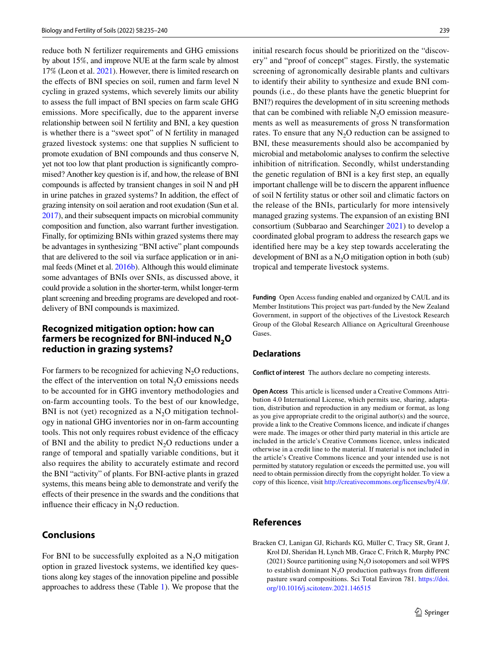reduce both N fertilizer requirements and GHG emissions by about 15%, and improve NUE at the farm scale by almost 17% (Leon et al. [2021\)](#page-5-24). However, there is limited research on the effects of BNI species on soil, rumen and farm level N cycling in grazed systems, which severely limits our ability to assess the full impact of BNI species on farm scale GHG emissions. More specifically, due to the apparent inverse relationship between soil N fertility and BNI, a key question is whether there is a "sweet spot" of N fertility in managed grazed livestock systems: one that supplies N sufficient to promote exudation of BNI compounds and thus conserve N, yet not too low that plant production is signifcantly compromised? Another key question is if, and how, the release of BNI compounds is afected by transient changes in soil N and pH in urine patches in grazed systems? In addition, the efect of grazing intensity on soil aeration and root exudation (Sun et al. [2017\)](#page-5-25), and their subsequent impacts on microbial community composition and function, also warrant further investigation. Finally, for optimizing BNIs within grazed systems there may be advantages in synthesizing "BNI active" plant compounds that are delivered to the soil via surface application or in animal feeds (Minet et al. [2016b\)](#page-5-26). Although this would eliminate some advantages of BNIs over SNIs, as discussed above, it could provide a solution in the shorter-term, whilst longer-term plant screening and breeding programs are developed and rootdelivery of BNI compounds is maximized.

#### **Recognized mitigation option: how can farmers be recognized for BNI‑induced N2O reduction in grazing systems?**

For farmers to be recognized for achieving  $N_2O$  reductions, the effect of the intervention on total  $N_2O$  emissions needs to be accounted for in GHG inventory methodologies and on-farm accounting tools. To the best of our knowledge, BNI is not (yet) recognized as a  $N_2O$  mitigation technology in national GHG inventories nor in on-farm accounting tools. This not only requires robust evidence of the efficacy of BNI and the ability to predict  $N_2O$  reductions under a range of temporal and spatially variable conditions, but it also requires the ability to accurately estimate and record the BNI "activity" of plants. For BNI-active plants in grazed systems, this means being able to demonstrate and verify the efects of their presence in the swards and the conditions that influence their efficacy in  $N_2O$  reduction.

#### **Conclusions**

For BNI to be successfully exploited as a  $N<sub>2</sub>O$  mitigation option in grazed livestock systems, we identifed key questions along key stages of the innovation pipeline and possible approaches to address these (Table [1\)](#page-3-0). We propose that the

initial research focus should be prioritized on the "discovery" and "proof of concept" stages. Firstly, the systematic screening of agronomically desirable plants and cultivars to identify their ability to synthesize and exude BNI compounds (i.e., do these plants have the genetic blueprint for BNI?) requires the development of in situ screening methods that can be combined with reliable  $N_2O$  emission measurements as well as measurements of gross N transformation rates. To ensure that any  $N<sub>2</sub>O$  reduction can be assigned to BNI, these measurements should also be accompanied by microbial and metabolomic analyses to confrm the selective inhibition of nitrifcation. Secondly, whilst understanding the genetic regulation of BNI is a key frst step, an equally important challenge will be to discern the apparent infuence of soil N fertility status or other soil and climatic factors on the release of the BNIs, particularly for more intensively managed grazing systems. The expansion of an existing BNI consortium (Subbarao and Searchinger [2021](#page-5-9)) to develop a coordinated global program to address the research gaps we identifed here may be a key step towards accelerating the development of BNI as a  $N_2O$  mitigation option in both (sub) tropical and temperate livestock systems.

**Funding** Open Access funding enabled and organized by CAUL and its Member Institutions This project was part-funded by the New Zealand Government, in support of the objectives of the Livestock Research Group of the Global Research Alliance on Agricultural Greenhouse Gases.

#### **Declarations**

**Conflict of interest** The authors declare no competing interests.

**Open Access** This article is licensed under a Creative Commons Attribution 4.0 International License, which permits use, sharing, adaptation, distribution and reproduction in any medium or format, as long as you give appropriate credit to the original author(s) and the source, provide a link to the Creative Commons licence, and indicate if changes were made. The images or other third party material in this article are included in the article's Creative Commons licence, unless indicated otherwise in a credit line to the material. If material is not included in the article's Creative Commons licence and your intended use is not permitted by statutory regulation or exceeds the permitted use, you will need to obtain permission directly from the copyright holder. To view a copy of this licence, visit<http://creativecommons.org/licenses/by/4.0/>.

## **References**

<span id="page-4-0"></span>Bracken CJ, Lanigan GJ, Richards KG, Müller C, Tracy SR, Grant J, Krol DJ, Sheridan H, Lynch MB, Grace C, Fritch R, Murphy PNC (2021) Source partitioning using  $N_2O$  isotopomers and soil WFPS to establish dominant  $N_2O$  production pathways from different pasture sward compositions. Sci Total Environ 781. [https://doi.](https://doi.org/10.1016/j.scitotenv.2021.146515) [org/10.1016/j.scitotenv.2021.146515](https://doi.org/10.1016/j.scitotenv.2021.146515)